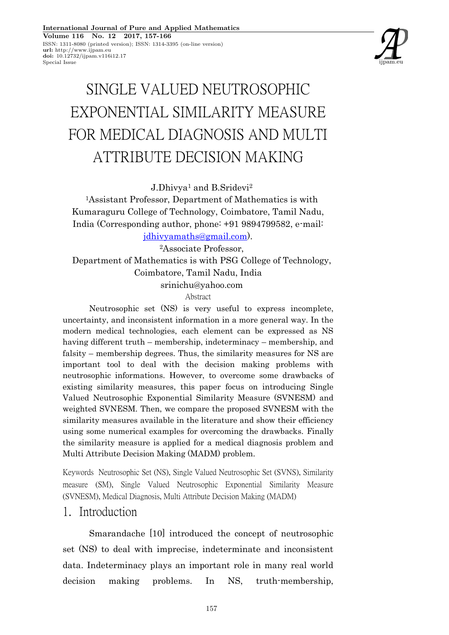ISSN: 1311-8080 (printed version); ISSN: 1314-3395 (on-line version) **url:** http://www.ijpam.eu<br>**doi:** 10.12732/ijpam.v116i12.17 Special Issue ijpam.eu



# SINGLE VALUED NEUTROSOPHIC EXPONENTIAL SIMILARITY MEASURE FOR MEDICAL DIAGNOSIS AND MULTI ATTRIBUTE DECISION MAKING

J.Dhivya<sup>1</sup> and B.Sridevi<sup>2</sup>

<sup>1</sup>Assistant Professor, Department of Mathematics is with Kumaraguru College of Technology, Coimbatore, Tamil Nadu, India (Corresponding author, phone: +91 9894799582, e-mail:

jdhivyamaths@gmail.com).

<sup>2</sup>Associate Professor,

Department of Mathematics is with PSG College of Technology, Coimbatore, Tamil Nadu, India srinichu@yahoo.com

#### Abstract

Neutrosophic set (NS) is very useful to express incomplete, uncertainty, and inconsistent information in a more general way. In the modern medical technologies, each element can be expressed as NS having different truth – membership, indeterminacy – membership, and falsity – membership degrees. Thus, the similarity measures for NS are important tool to deal with the decision making problems with neutrosophic informations. However, to overcome some drawbacks of existing similarity measures, this paper focus on introducing Single Valued Neutrosophic Exponential Similarity Measure (SVNESM) and weighted SVNESM. Then, we compare the proposed SVNESM with the similarity measures available in the literature and show their efficiency using some numerical examples for overcoming the drawbacks. Finally the similarity measure is applied for a medical diagnosis problem and Multi Attribute Decision Making (MADM) problem.

Keywords Neutrosophic Set (NS), Single Valued Neutrosophic Set (SVNS), Similarity measure (SM), Single Valued Neutrosophic Exponential Similarity Measure (SVNESM), Medical Diagnosis, Multi Attribute Decision Making (MADM)

#### 1. Introduction

Smarandache [10] introduced the concept of neutrosophic set (NS) to deal with imprecise, indeterminate and inconsistent data. Indeterminacy plays an important role in many real world decision making problems. In NS, truth-membership,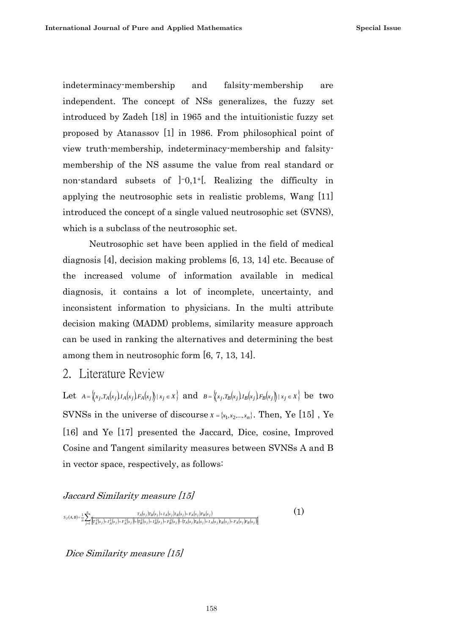indeterminacy-membership and falsity-membership are independent. The concept of NSs generalizes, the fuzzy set introduced by Zadeh [18] in 1965 and the intuitionistic fuzzy set proposed by Atanassov [1] in 1986. From philosophical point of view truth-membership, indeterminacy-membership and falsitymembership of the NS assume the value from real standard or non-standard subsets of  $]-0,1+[$ . Realizing the difficulty in applying the neutrosophic sets in realistic problems, Wang [11] introduced the concept of a single valued neutrosophic set (SVNS), which is a subclass of the neutrosophic set.

Neutrosophic set have been applied in the field of medical diagnosis [4], decision making problems [6, 13, 14] etc. Because of the increased volume of information available in medical diagnosis, it contains a lot of incomplete, uncertainty, and inconsistent information to physicians. In the multi attribute decision making (MADM) problems, similarity measure approach can be used in ranking the alternatives and determining the best among them in neutrosophic form [6, 7, 13, 14].

#### 2. Literature Review

Let  $A = \langle x_j, T_A(x_j)I_A(x_j)F_A(x_j) \rangle | x_j \in X \rangle$  and  $B = \langle x_j, T_B(x_j)I_B(x_j)F_B(x_j) \rangle | x_j \in X \rangle$  be two SVNSs in the universe of discourse  $X = \{x_1, x_2, \dots, x_n\}$ . Then, Ye [15], Ye [16] and Ye [17] presented the Jaccard, Dice, cosine, Improved Cosine and Tangent similarity measures between SVNSs A and B in vector space, respectively, as follows:

Jaccard Similarity measure [15]

 $(A, B) = \frac{1}{n} \sum_{j=1}^{n} \frac{T_A(x_j)T_B(x_j) + I_A(x_j)I_B(x_j) + F_A(x_j)F_B(x_j)}{[(T_A^2(x_j) + T_A^2(x_j))] + (T_B^2(x_j) + T_B^2(x_j) + T_B^2(x_j)) - (T_A(x_j)F_B(x_j) + I_A(x_j)F_B(x_j) + F_A(x_j)F_B(x_j))]$  $=\frac{1}{2}\sum_{k=1}^{n}\frac{T_{A}(x_{j})T_{B}(x_{j})+T_{A}(x_{j})T_{B}(x_{j})+T_{A}(x_{j})T_{B}(x_{j})T_{B}(x_{j})T_{B}(x_{j})T_{B}(x_{j})T_{B}(x_{j})T_{B}(x_{j})T_{B}(x_{j})T_{B}(x_{j})T_{B}(x_{j})T_{B}(x_{j})T_{B}(x_{j})T_{B}(x_{j})T_{B}(x_{j})T_{B}(x_{j})T_{B}(x_{j})T_{B}(x_{j})T_{B}(x_{j})T_{B}(x_{j})T_{B}(x_{j})T_{B}(x_{j})T$  $\frac{1}{f=1}$   $\int_{a}^{b}$   $A(x) f(t) dt$   $A(x) f(t) dt$   $B(x) f(t) dA(x) f(t) dA(x) f(t) dA(x) f(t) dA(x) f(t) dA(x) f(t) dA(x) f(t) dA(x) f(t) dA(x) f(t) dA(x) f(t) dA(x) f(t) dA(x) f(t) dA(x) f(t) dA(x) f(t) dA(x) f(t) dA(x) f(t) dA(x) f(t) dA(x) f(t) dA(x) f(t) dA(x) f(t) dA(x) f(t) dA(x) f(t) dA(x) f(t) dA(x) f(t) dA(x) f(t) dA(x$  $J(A, B) = \frac{1}{n} \sum_{i=1}^{n} \frac{I_A(x_j)I_B(x_j) + I_A(x_j)I_B(x_j) + I_A(x_j)I_B(x_j)}{[T_A^2(x_i) + T_A^2(x_i)] + [T_B^2(x_i) + T_B^2(x_i)] + [T_B^2(x_i) - [T_A(x_i)T_B(x_i) + I_A(x_i)T_B(x_i) + F_A(x_i)F_B(x_i)]}$  $T_A(x_i)T_B(x_i)+I_A(x_i)I_B(x_i)+F_A(x_i)F_B(x_i)$  $S_J(A, B) = \frac{1}{n} \sum_{j=1}^{n} \frac{T_A(x_j) T_B(x_j) + T_A(x_j)}{[T_A^2(x_j) + T_A^2(x_j) + T_A^2(x_j)] + [T_B^2(x_j) + T_B^2(x_j) + T_B^2]}$ 

Dice Similarity measure [15]

(1)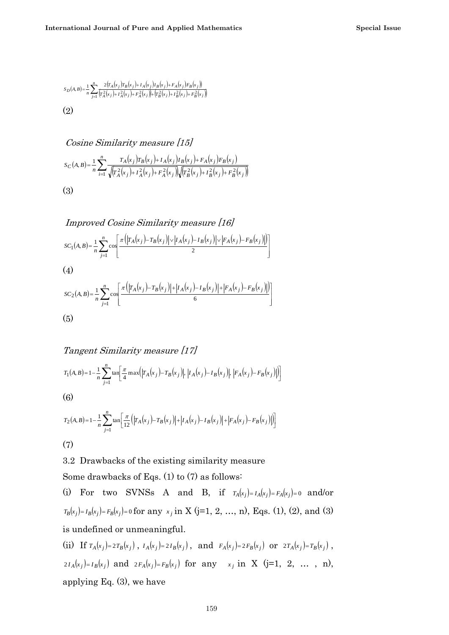$$
S_D(A, B) = \frac{1}{n} \sum_{j=1}^n \frac{2(r_A(x_j) r_B(x_j) + I_A(x_j) I_B(x_j) + F_A(x_j) F_B(x_j))}{(r_A^2(x_j) + I_A^2(x_j) + r_A^2(x_j)) + (r_B^2(x_j) + I_B^2(x_j) + F_B^2(x_j))}
$$
  
(2)

Cosine Similarity measure [15]

$$
S_C(A, B) = \frac{1}{n} \sum_{i=1}^n \frac{T_A(x_j) T_B(x_j) + I_A(x_j) I_B(x_j) + F_A(x_j) F_B(x_j)}{\sqrt{T_A^2(x_j) + I_A^2(x_j) + F_A^2(x_j)} \sqrt{T_B^2(x_j) + I_B^2(x_j) + F_B^2(x_j)}}
$$
\n(3)

Improved Cosine Similarity measure [16]

$$
SC_1(A, B) = \frac{1}{n} \sum_{j=1}^{n} \cos \left[ \frac{\pi (|T_A(x_j) - T_B(x_j)| \vee |I_A(x_j) - I_B(x_j)| \vee |F_A(x_j) - F_B(x_j)|)}{2} \right]
$$

(4)

$$
SC_2(A,B) = \frac{1}{n} \sum_{j=1}^{n} \cos \left[ \frac{\pi (|r_A(x_j) - r_B(x_j)| + |r_A(x_j) - r_B(x_j)| + |r_A(x_j) - r_B(x_j)|)}{6} \right]
$$
  
(5)

#### Tangent Similarity measure [17]

$$
T_1(A, B) = 1 - \frac{1}{n} \sum_{j=1}^n \tan \left[ \frac{\pi}{4} \max \left( |T_A(x_j) - T_B(x_j)|, |I_A(x_j) - I_B(x_j)|, |F_A(x_j) - F_B(x_j)| \right) \right]
$$
  
(6)

$$
T_2(A, B) = 1 - \frac{1}{n} \sum_{j=1}^n \tan \left[ \frac{\pi}{12} (|T_A(x_j) - T_B(x_j)| + |I_A(x_j) - I_B(x_j)| + |F_A(x_j) - F_B(x_j)|) \right]
$$
  
(7)

3.2 Drawbacks of the existing similarity measure

Some drawbacks of Eqs. (1) to (7) as follows:

(i) For two SVNSs A and B, if  $T_A(x_j) = I_A(x_j) = F_A(x_j) = 0$  and/or  $T_B(x_j) = I_B(x_j) = F_B(x_j) = 0$  for any  $x_j$  in X (j=1, 2, …, n), Eqs. (1), (2), and (3) is undefined or unmeaningful.

(ii) If  $T_A(x_j) = 2T_B(x_j)$ ,  $I_A(x_j) = 2I_B(x_j)$ , and  $F_A(x_j) = 2F_B(x_j)$  or  $2T_A(x_j) = T_B(x_j)$ ,  $2I_A(x_j) = I_B(x_j)$  and  $2F_A(x_j) = F_B(x_j)$  for any  $x_j$  in X (j=1, 2, ..., n), applying Eq. (3), we have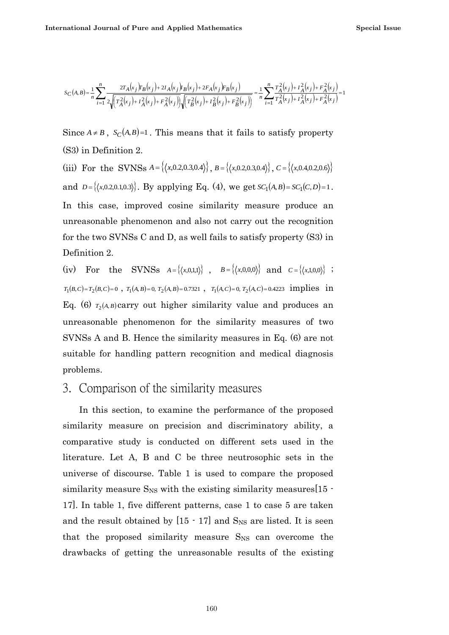$$
S_C(A,B) = \frac{1}{n} \sum_{i=1}^n \frac{2T_A(x_j)F_B(x_j) + 2I_A(x_j)F_B(x_j) + 2F_A(x_j)F_B(x_j)}{2\sqrt{(T_A^2(x_j) + T_A^2(x_j) + T_A^2(x_j))}\sqrt{(T_B^2(x_j) + T_B^2(x_j) + T_B^2(x_j))}} = \frac{1}{n} \sum_{i=1}^n \frac{T_A^2(x_j) + T_A^2(x_j) + T_A^2(x_j)}{T_A^2(x_j) + T_A^2(x_j) + T_A^2(x_j)} = \frac{1}{n} \sum_{i=1}^n \frac{T_A^2(x_j) + T_A^2(x_j) + T_A^2(x_j)}{T_A^2(x_j) + T_A^2(x_j) + T_A^2(x_j)} = \frac{1}{n} \sum_{i=1}^n \frac{T_A^2(x_j) + T_A^2(x_j) + T_A^2(x_j)}{T_A^2(x_j) + T_A^2(x_j) + T_A^2(x_j)} = \frac{1}{n} \sum_{i=1}^n \frac{T_A^2(x_j) + T_A^2(x_j) + T_A^2(x_j)}{T_A^2(x_j) + T_A^2(x_j) + T_A^2(x_j)} = \frac{1}{n} \sum_{i=1}^n \frac{T_A^2(x_j) + T_A^2(x_j) + T_A^2(x_j)}{T_A^2(x_j) + T_A^2(x_j) + T_A^2(x_j)} = \frac{1}{n} \sum_{i=1}^n \frac{T_A^2(x_j) + T_A^2(x_j) + T_A^2(x_j)}{T_A^2(x_j) + T_A^2(x_j) + T_A^2(x_j)} = \frac{1}{n} \sum_{i=1}^n \frac{T_A^2(x_j) + T_A^2(x_j) + T_A^2(x_j)}{T_A^2(x_j) + T_A^2(x_j) + T_A^2(x_j)} = \frac{1}{n} \sum_{i=1}^n \frac{T_A^2(x_j) + T_A^2(x_j) + T_A^2(x_j)}{T_A^2(x_j) + T_A^2(x_j) + T_A^2(x_j)} = \frac{1}{n} \sum_{i=1}^n \frac{T_A^2(x_j) + T_A^2(x_j) + T_A^2(x_j)}{T_A^2(x_j) + T_A^2(x_j) + T_A^2(x_j)} = \frac{1}{n} \sum_{i=1}^n \frac{T_A^2(x_j) + T_A^2(x_j) + T_A^2(x_j)}{T_A^2(x
$$

Since  $A \neq B$ ,  $S_C(A, B) = 1$ . This means that it fails to satisfy property (S3) in Definition 2.

(iii) For the SVNSs  $A = \{(x, 0.2, 0.3, 0.4)\}, B = \{(x, 0.2, 0.3, 0.4)\}, C = \{(x, 0.4, 0.2, 0.6)\}$ and  $D = \{(x, 0.2, 0.1, 0.3)\}\.$  By applying Eq. (4), we get  $SC_1(A, B) = SC_1(C, D) = 1$ . In this case, improved cosine similarity measure produce an unreasonable phenomenon and also not carry out the recognition for the two SVNSs C and D, as well fails to satisfy property (S3) in Definition 2.

(iv) For the SVNSs  $A = \{(x,0,1,1)\}$ ,  $B = \{(x,0,0,0)\}$  and  $C = \{(x,1,0,0)\}$ ;  $T_1(B,C)=T_2(B,C)=0$ ,  $T_1(A,B)=0$ ,  $T_2(A,B)=0.7321$ ,  $T_1(A,C)=0$ ,  $T_2(A,C)=0.4223$  implies in Eq. (6)  $T_2(A,B)$  carry out higher similarity value and produces an unreasonable phenomenon for the similarity measures of two SVNSs A and B. Hence the similarity measures in Eq. (6) are not suitable for handling pattern recognition and medical diagnosis problems.

### 3. Comparison of the similarity measures

In this section, to examine the performance of the proposed similarity measure on precision and discriminatory ability, a comparative study is conducted on different sets used in the literature. Let A, B and C be three neutrosophic sets in the universe of discourse. Table 1 is used to compare the proposed similarity measure  $S_{\text{NS}}$  with the existing similarity measures [15  $\cdot$ 17]. In table 1, five different patterns, case 1 to case 5 are taken and the result obtained by  $[15 \cdot 17]$  and  $S_{NS}$  are listed. It is seen that the proposed similarity measure S<sub>NS</sub> can overcome the drawbacks of getting the unreasonable results of the existing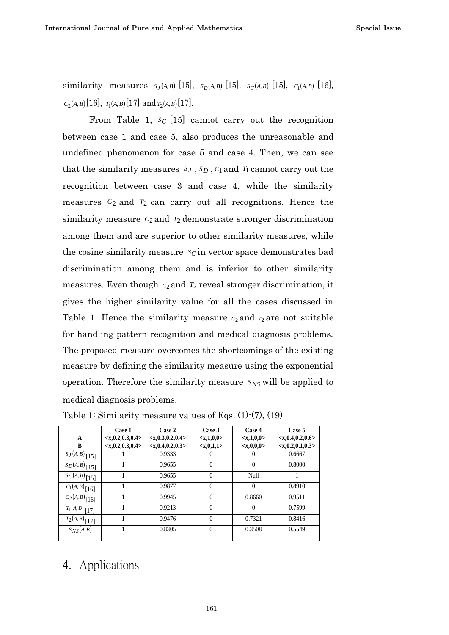similarity measures  $s_J(A,B)$  [15],  $s_D(A,B)$  [15],  $s_C(A,B)$  [15],  $c_1(A,B)$  [16],  $C_2(A,B)$  [16],  $T_1(A,B)$  [17] and  $T_2(A,B)$  [17].

From Table 1,  $s_c$  [15] cannot carry out the recognition between case 1 and case 5, also produces the unreasonable and undefined phenomenon for case 5 and case 4. Then, we can see that the similarity measures  $S_J$ ,  $S_D$ ,  $C_1$  and  $T_1$  cannot carry out the recognition between case 3 and case 4, while the similarity measures  $C_2$  and  $T_2$  can carry out all recognitions. Hence the similarity measure  $c_2$  and  $r_2$  demonstrate stronger discrimination among them and are superior to other similarity measures, while the cosine similarity measure  $s_c$  in vector space demonstrates bad discrimination among them and is inferior to other similarity measures. Even though  $c_2$  and  $r_2$  reveal stronger discrimination, it gives the higher similarity value for all the cases discussed in Table 1. Hence the similarity measure  $c_2$  and  $r_2$  are not suitable for handling pattern recognition and medical diagnosis problems. The proposed measure overcomes the shortcomings of the existing measure by defining the similarity measure using the exponential operation. Therefore the similarity measure  $S_{NS}$  will be applied to medical diagnosis problems.

|                  | Case 1                           | Case 2                                                                                                                                          | Case 3              | Case 4              | Case 5                                  |
|------------------|----------------------------------|-------------------------------------------------------------------------------------------------------------------------------------------------|---------------------|---------------------|-----------------------------------------|
| A                | <x, 0.2,="" 0.3,="" 0.4=""></x,> | <x, 0.2,="" 0.3,="" 0.4<="" th=""><th><x,1,0,0></x,1,0,0></th><th><x,1,0,0></x,1,0,0></th><th><x, 0.2,="" 0.4,="" 0.6<="" th=""></x,></th></x,> | <x,1,0,0></x,1,0,0> | <x,1,0,0></x,1,0,0> | <x, 0.2,="" 0.4,="" 0.6<="" th=""></x,> |
| B                | <x, 0.2,="" 0.3,="" 0.4=""></x,> | <x, 0.2,="" 0.3<="" 0.4,="" th=""><th><x,0,1,1></x,0,1,1></th><th>&lt; x, 0, 0, 0 &gt;</th><th><x,0.2,0.1,0.3></x,0.2,0.1,0.3></th></x,>        | <x,0,1,1></x,0,1,1> | < x, 0, 0, 0 >      | <x,0.2,0.1,0.3></x,0.2,0.1,0.3>         |
| $S_J(A, B)$ [15] |                                  | 0.9333                                                                                                                                          | O                   | U                   | 0.6667                                  |
| $S_D(A, B)$ [15] |                                  | 0.9655                                                                                                                                          | $\theta$            | $\theta$            | 0.8000                                  |
| $S_C(A, B)$ [15] |                                  | 0.9655                                                                                                                                          | $\mathbf{0}$        | Null                |                                         |
| $C_1(A, B)$ [16] |                                  | 0.9877                                                                                                                                          | $\theta$            | $\Omega$            | 0.8910                                  |
| $C_2(A,B)$ [16]  |                                  | 0.9945                                                                                                                                          | $\theta$            | 0.8660              | 0.9511                                  |
| $T_1(A,B)$ [17]  |                                  | 0.9213                                                                                                                                          | $\theta$            | $\Omega$            | 0.7599                                  |
| $T_2(A,B)$ [17]  |                                  | 0.9476                                                                                                                                          | $\theta$            | 0.7321              | 0.8416                                  |
| $S_{NS}(A, B)$   |                                  | 0.8305                                                                                                                                          | $\theta$            | 0.3508              | 0.5549                                  |
|                  |                                  |                                                                                                                                                 |                     |                     |                                         |

Table 1: Similarity measure values of Eqs. (1)-(7), (19)

## 4. Applications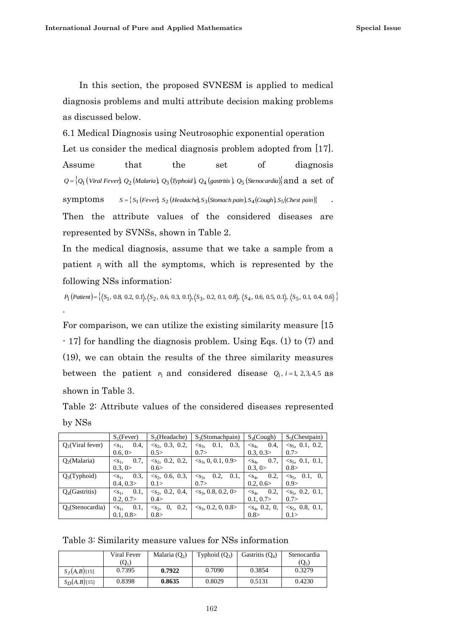In this section, the proposed SVNESM is applied to medical diagnosis problems and multi attribute decision making problems as discussed below.

6.1 Medical Diagnosis using Neutrosophic exponential operation Let us consider the medical diagnosis problem adopted from [17]. Assume that the set of diagnosis  $Q$  =  $\{Q_1$  (Viral Fever),  $Q_2$  (Malaria),  $Q_3$  (Typhoid),  $Q_4$  (gastritis),  $Q_5$  (Stenocardia) $\}$   $and  $\>$  a  $\>$ set  $\>$  of$ symptoms  $S = \{ S_1 \text{ (Fever)}, S_2 \text{ (Headache)}, S_3 \text{ (Stomach pain)}, S_4 \text{ (Cough)}, S_5 \text{ (Check in pain)} \}$ Then the attribute values of the considered diseases are

represented by SVNSs, shown in Table 2.

In the medical diagnosis, assume that we take a sample from a patient  $P_1$  with all the symptoms, which is represented by the following NSs information:

$$
P_1\left(Patient\right) = \left\{\langle S_1, 0.8, 0.2, 0.1\rangle, \langle S_2, 0.6, 0.3, 0.1\rangle, \langle S_3, 0.2, 0.1, 0.8\rangle, \langle S_4, 0.6, 0.5, 0.1\rangle, \langle S_5, 0.1, 0.4, 0.6\rangle\right\}
$$

For comparison, we can utilize the existing similarity measure [15 - 17] for handling the diagnosis problem. Using Eqs. (1) to (7) and (19), we can obtain the results of the three similarity measures between the patient  $P_1$  and considered disease  $Q_i$ ,  $i=1, 2, 3, 4, 5$  as shown in Table 3.

Table 2: Attribute values of the considered diseases represented by NSs

|                          | $S_1$ (Fever)                   | S <sub>2</sub> (Headache)                      | $S_3$ (Stomachpain)                  | $S_4$ (Cough)                  | S <sub>5</sub> (Chestpain)        |
|--------------------------|---------------------------------|------------------------------------------------|--------------------------------------|--------------------------------|-----------------------------------|
| $Q_1$ (Viral fever)      | 0.4,<br>$\leq$ S <sub>1</sub> , | $\langle s_2, 0.3, 0.2, \rangle$               | 0.3,<br>0.1,<br>$<$ S <sub>3</sub> , | 0.4.<br>$<$ S <sub>4</sub> ,   | $\langle s_5, 0.1, 0.2,$          |
|                          | 0.6, 0>                         | 0.5                                            | 0.7>                                 | 0.3, 0.3                       | 0.7>                              |
| O <sub>2</sub> (Malaria) | 0.7,<br>$\leq$ S <sub>1</sub> , | $\langle s_2, 0.2, 0.2, \rangle$               | $\langle s_3, 0, 0.1, 0.9 \rangle$   | 0.7,<br>$<$ S <sub>4</sub> ,   | $\leq$ s <sub>5</sub> , 0.1, 0.1, |
|                          | 0.3, 0>                         | 0.6>                                           |                                      | 0.3, 0>                        | 0.8>                              |
| $Q_3$ (Typhoid)          | 0.3.<br>$\leq$ S <sub>1</sub> , | $\langle s_2, 0.6, 0.3, \rangle$               | 0.2,<br>0.1,<br>$<$ S <sub>3</sub> , | 0.2,<br>$<$ S <sub>4</sub> ,   | 0.1, 0,<br>$<$ S <sub>5</sub> ,   |
|                          | 0.4, 0.3                        | 0.1>                                           | 0.7>                                 | 0.2, 0.6                       | 0.9>                              |
| $Q_4$ (Gastritis)        | 0.1.<br>$\leq$ S <sub>1</sub> , | $\langle s_2, 0.2, 0.4, \rangle$               | $\langle s_3, 0.8, 0.2, 0 \rangle$   | 0.2,<br>$<$ S <sub>4</sub> ,   | $\leq$ s <sub>5</sub> , 0.2, 0.1, |
|                          | 0.2, 0.7                        | 0.4>                                           |                                      | 0.1, 0.7                       | 0.7>                              |
| $Q_5$ (Stenocardia)      | 0.1,<br>$\leq$ S <sub>1</sub> , | 0.2.<br>$\mathbf{0}$<br>$\langle S_2, \rangle$ | $\langle s_3, 0.2, 0, 0.8 \rangle$   | $\langle s_4, 0.2, 0, \rangle$ | $\leq$ s <sub>5</sub> , 0.8, 0.1, |
|                          | 0.1, 0.8                        | 0.8>                                           |                                      | 0.8>                           | 0.1>                              |

Table 3: Similarity measure values for NSs information

|                  | Viral Fever | Malaria $(O_2)$ | Typhoid $(Q_3)$ | Gastritis $(O_4)$ | Stenocardia |
|------------------|-------------|-----------------|-----------------|-------------------|-------------|
|                  | $(Q_1)$     |                 |                 |                   | $(Q_5)$     |
| $S_I(A, B)$ [15] | 0.7395      | 0.7922          | 0.7090          | 0.3854            | 0.3279      |
| $S_D(A, B)$ [15] | 0.8398      | 0.8635          | 0.8029          | 0.5131            | 0.4230      |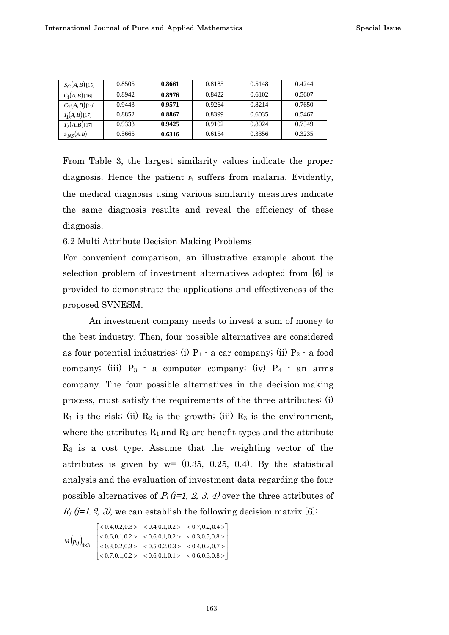| $S_C(A, B)$ [15] | 0.8505 | 0.8661 | 0.8185 | 0.5148 | 0.4244 |
|------------------|--------|--------|--------|--------|--------|
| $C_1(A,B)$ [16]  | 0.8942 | 0.8976 | 0.8422 | 0.6102 | 0.5607 |
| $C_2(A,B)$ [16]  | 0.9443 | 0.9571 | 0.9264 | 0.8214 | 0.7650 |
| $T_1(A,B)$ [17]  | 0.8852 | 0.8867 | 0.8399 | 0.6035 | 0.5467 |
| $T_2(A,B)$ [17]  | 0.9333 | 0.9425 | 0.9102 | 0.8024 | 0.7549 |
| $S_{NS}(A, B)$   | 0.5665 | 0.6316 | 0.6154 | 0.3356 | 0.3235 |

From Table 3, the largest similarity values indicate the proper diagnosis. Hence the patient  $P_1$  suffers from malaria. Evidently, the medical diagnosis using various similarity measures indicate the same diagnosis results and reveal the efficiency of these diagnosis.

6.2 Multi Attribute Decision Making Problems

For convenient comparison, an illustrative example about the selection problem of investment alternatives adopted from [6] is provided to demonstrate the applications and effectiveness of the proposed SVNESM.

An investment company needs to invest a sum of money to the best industry. Then, four possible alternatives are considered as four potential industries: (i)  $P_1$  - a car company; (ii)  $P_2$  - a food company; (iii)  $P_3$  - a computer company; (iv)  $P_4$  - an arms company. The four possible alternatives in the decision-making process, must satisfy the requirements of the three attributes: (i)  $R_1$  is the risk; (ii)  $R_2$  is the growth; (iii)  $R_3$  is the environment, where the attributes  $R_1$  and  $R_2$  are benefit types and the attribute  $R<sub>3</sub>$  is a cost type. Assume that the weighting vector of the attributes is given by  $w = (0.35, 0.25, 0.4)$ . By the statistical analysis and the evaluation of investment data regarding the four possible alternatives of  $P_i$  (i=1, 2, 3, 4) over the three attributes of  $R_i$  (j=1, 2, 3), we can establish the following decision matrix [6]:

 $(p_{ii})$   $< 0.6, 0.1, 0.2 > 0.6, 0.1, 0.2 > 0.3, 0.5, 0.8 >$ <br>  $< 0.3, 0.2, 0.3 > 0.5, 0.2, 0.3 > 0.4, 0.2, 0.7 >$ <br>  $< 0.7, 0.1, 0.2 > 0.6, 0.1, 0.1 > 0.6, 0.3, 0.8 >$  $\begin{bmatrix} 0.4, 0.2, 0.3 \end{bmatrix}$  < 0.4, 0.1, 0.2 > < 0.7, 0.2, 0.4 >  $\left[ < 0.7, 0.1, 0.2 > \right. < 0.6, 0.1, 0.1 > \left. < 0.6, 0.3, 0.8 > \right.$  $< 0.4, 0.2, 0.7 >$  $< 0.3, 0.5, 0.8 >$  $< 0.6, 0.1, 0.1 >$  $< 0.5, 0.2, 0.3 >$  $< 0.6, 0.1, 0.2 >$  $< 0.7, 0.1, 0.2 >$  $< 0.3, 0.2, 0.3 >$  $\mathbf{R}_{\times 3} = \begin{vmatrix} 0.6, 0.1, 0.2 \\ 0.3, 0.2, 0.3 \end{vmatrix}$ 0.6,0.3,0.8 0.4,0.2,0.7 0.3,0.5,0.8 0.6,0.1,0.1 0.5,0.2,0.3 0.6,0.1,0.2 0.7,0.1,0.2 0.3,0.2,0.3 0.6,0.1,0.2  $M(p_{ij})$ <sub>4×3</sub>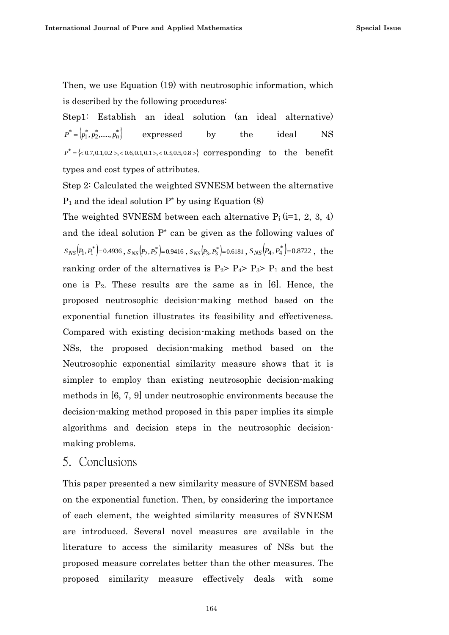Then, we use Equation (19) with neutrosophic information, which is described by the following procedures:

Step1: Establish an ideal solution (an ideal alternative)  $P^* = \{p_1^*, p_2^*, \dots, p_n^*\}$ expressed by the ideal NS  $P^* = \{0.7, 0.1, 0.2\} < 0.6, 0.1, 0.1\} < 0.3, 0.5, 0.8\}$  corresponding to the benefit types and cost types of attributes.

Step 2: Calculated the weighted SVNESM between the alternative  $P_1$  and the ideal solution  $P^*$  by using Equation (8)

The weighted SVNESM between each alternative  $P_i$  (i=1, 2, 3, 4) and the ideal solution  $P^*$  can be given as the following values of  $S_{NS}(P_1, P_1^*) = 0.4936$ ,  $S_{NS}(P_2, P_2^*) = 0.9416$ ,  $S_{NS}(P_3, P_3^*) = 0.6181$ ,  $S_{NS}(P_4, P_4^*) = 0.8722$ , the ranking order of the alternatives is  $P_2 > P_4 > P_3 > P_1$  and the best one is  $P_2$ . These results are the same as in [6]. Hence, the proposed neutrosophic decision-making method based on the exponential function illustrates its feasibility and effectiveness. Compared with existing decision-making methods based on the NSs, the proposed decision-making method based on the Neutrosophic exponential similarity measure shows that it is simpler to employ than existing neutrosophic decision-making methods in [6, 7, 9] under neutrosophic environments because the decision-making method proposed in this paper implies its simple algorithms and decision steps in the neutrosophic decisionmaking problems.

## 5. Conclusions

This paper presented a new similarity measure of SVNESM based on the exponential function. Then, by considering the importance of each element, the weighted similarity measures of SVNESM are introduced. Several novel measures are available in the literature to access the similarity measures of NSs but the proposed measure correlates better than the other measures. The proposed similarity measure effectively deals with some